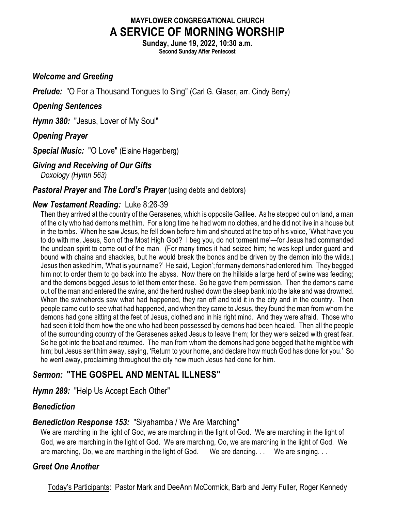### **MAYFLOWER CONGREGATIONAL CHURCH A SERVICE OF MORNING WORSHIP**

**Sunday, June 19, 2022, 10:30 a.m. Second Sunday After Pentecost**

### *Welcome and Greeting*

**Prelude:** "O For a Thousand Tongues to Sing" (Carl G. Glaser, arr. Cindy Berry)

#### *Opening Sentences*

*Hymn 380:* "Jesus, Lover of My Soul"

### *Opening Prayer*

*Special Music:* "O Love" (Elaine Hagenberg)

#### *Giving and Receiving of Our Gifts*

*Doxology (Hymn 563)*

#### **Pastoral Prayer and The Lord's Prayer** (using debts and debtors)

### *New Testament Reading:* Luke 8:26-39

Then they arrived at the country of the Gerasenes, which is opposite Galilee. As he stepped out on land, a man of the city who had demons met him. For a long time he had worn no clothes, and he did not live in a house but in the tombs. When he saw Jesus, he fell down before him and shouted at the top of his voice, 'What have you to do with me, Jesus, Son of the Most High God? I beg you, do not torment me'—for Jesus had commanded the unclean spirit to come out of the man. (For many times it had seized him; he was kept under guard and bound with chains and shackles, but he would break the bonds and be driven by the demon into the wilds.) Jesus then asked him, 'What is your name?' He said, 'Legion'; formany demons had entered him. They begged him not to order them to go back into the abyss. Now there on the hillside a large herd of swine was feeding; and the demons begged Jesus to let them enter these. So he gave them permission. Then the demons came out of the man and entered the swine, and the herd rushed down the steep bank into the lake and was drowned. When the swineherds saw what had happened, they ran off and told it in the city and in the country. Then people came out to see what had happened, and when they came to Jesus, they found the man from whom the demons had gone sitting at the feet of Jesus, clothed and in his right mind. And they were afraid. Those who had seen it told them how the one who had been possessed by demons had been healed. Then all the people of the surrounding country of the Gerasenes asked Jesus to leave them; for they were seized with great fear. So he got into the boat and returned. The man from whom the demons had gone begged that he might be with him; but Jesus sent him away, saying, 'Return to your home, and declare how much God has done for you.' So he went away, proclaiming throughout the city how much Jesus had done for him.

## *Sermon:* **"THE GOSPEL AND MENTAL ILLNESS"**

*Hymn 289:* "Help Us Accept Each Other"

### *Benediction*

### *Benediction Response 153:* "Siyahamba / We Are Marching"

We are marching in the light of God, we are marching in the light of God. We are marching in the light of God, we are marching in the light of God. We are marching, Oo, we are marching in the light of God. We are marching, Oo, we are marching in the light of God. We are dancing. . . We are singing. . .

### *Greet One Another*

Today's Participants: Pastor Mark and DeeAnn McCormick, Barb and Jerry Fuller, Roger Kennedy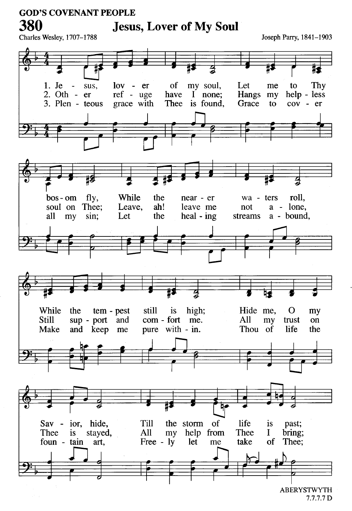### **GOD'S COVENANT PEOPLE**

Charles Wesley, 1707-1788

380

# **Jesus, Lover of My Soul**

Joseph Parry, 1841-1903



 $7.7.7.7 D$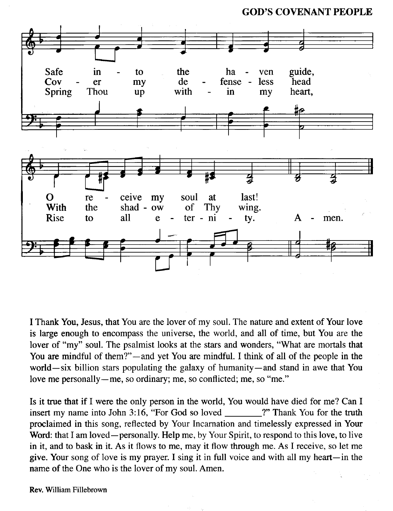**GOD'S COVENANT PEOPLE** 



I Thank You, Jesus, that You are the lover of my soul. The nature and extent of Your love is large enough to encompass the universe, the world, and all of time, but You are the lover of "my" soul. The psalmist looks at the stars and wonders, "What are mortals that You are mindful of them?"—and yet You are mindful. I think of all of the people in the world—six billion stars populating the galaxy of humanity—and stand in awe that You love me personally—me, so ordinary; me, so conflicted; me, so "me."

Is it true that if I were the only person in the world, You would have died for me? Can I insert my name into John 3:16, "For God so loved ?" Thank You for the truth proclaimed in this song, reflected by Your Incarnation and timelessly expressed in Your Word: that I am loved—personally. Help me, by Your Spirit, to respond to this love, to live in it, and to bask in it. As it flows to me, may it flow through me. As I receive, so let me give. Your song of love is my prayer. I sing it in full voice and with all my heart—in the name of the One who is the lover of my soul. Amen.

Rev. William Fillebrown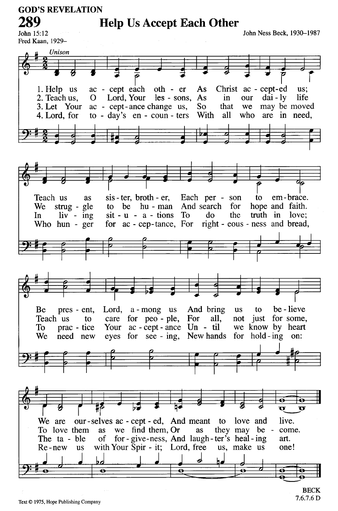**GOD'S REVELATION** 

**Help Us Accept Each Other** 

John Ness Beck, 1930-1987

John 15:12 Fred Kaan, 1929-

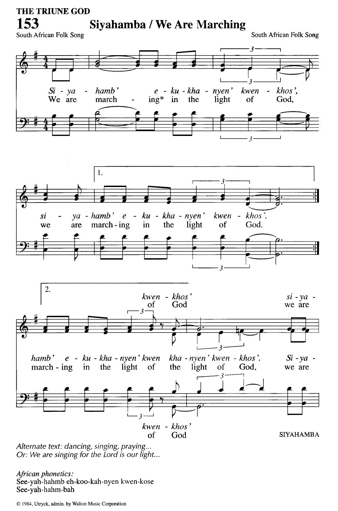### THE TRIUNE GOD Siyahamba / We Are Marching

South African Folk Song

153

South African Folk Song





Alternate text: dancing, singing, praying... Or: We are singing for the Lord is our light...

African phonetics: See-yah-hahmb eh-koo-kah-nyen kwen-kose See-yah-hahm-bah

© 1984, Utryck, admin. by Walton Music Corporation